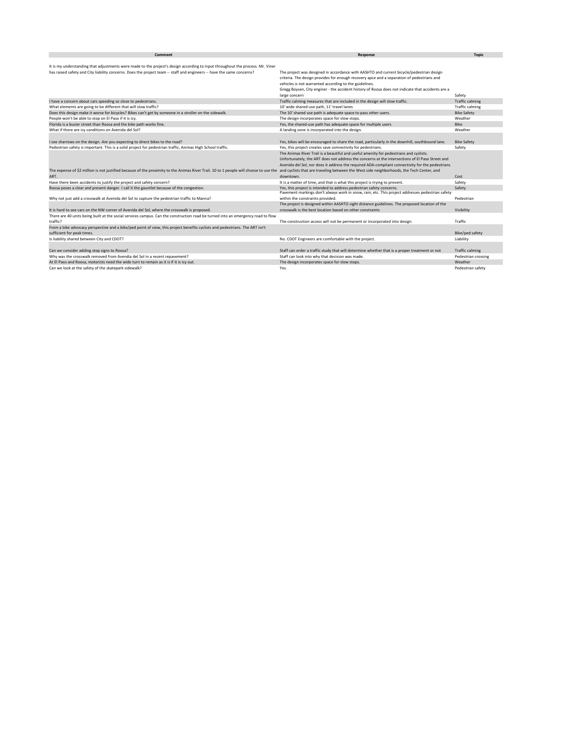| Comment                                                                                                                               | Response                                                                                          | <b>Topic</b>           |
|---------------------------------------------------------------------------------------------------------------------------------------|---------------------------------------------------------------------------------------------------|------------------------|
|                                                                                                                                       |                                                                                                   |                        |
| It is my understanding that adjustments were made to the project's design according to input throughout the process. Mr. Viner        |                                                                                                   |                        |
| has raised safety and City liability concerns. Does the project team -- staff and engineers -- have the same concerns?                | The project was designed in accordance with AASHTO and current bicycle/pedestrian design          |                        |
|                                                                                                                                       | criteria. The design provides for enough recovery apce and a separation of pedestrians and        |                        |
|                                                                                                                                       | vehicles is not warranted according to the guidelines.                                            |                        |
|                                                                                                                                       | Gregg Boysen, City enginer - the accident history of Roosa does not indicate that accidents are a |                        |
|                                                                                                                                       | large concern                                                                                     | Safety                 |
| I have a concern about cars speeding so close to pedestrians.                                                                         | Traffic calming measures that are included in the design will slow traffic.                       | <b>Traffic calming</b> |
| What elements are going to be different that will slow traffic?                                                                       | 10' wide shared-use path, 11' travel lanes                                                        | <b>Traffic calming</b> |
| Does this design make it worse for bicycles? Bikes can't get by someone in a stroller on the sidewalk.                                | The 10' shared use path is adequate space to pass other users.                                    | <b>Bike Safety</b>     |
| People won't be able to stop on El Paso if it is icy.                                                                                 | The design incorporates space for slow stops.                                                     | Weather                |
| Florida is a busier street than Roosa and the bike path works fine.                                                                   | Yes, the shared-use path has adequate space for multiple users                                    | Bike                   |
| What if there are icy conditions on Avenida del Sol?                                                                                  | A landing zone is incorporated into the design.                                                   | Weather                |
|                                                                                                                                       |                                                                                                   |                        |
| I see sharrows on the design. Are you expecting to direct bikes to the road?                                                          | Yes, bikes will be encouraged to share the road, particularly in the downhill, southbound lane.   | <b>Bike Safety</b>     |
| Pedestrian safety is important. This is a solid project for pedestrian traffic, Animas High School traffic.                           | Yes, this project creates save connectivity for pedestrians.                                      | Safety                 |
|                                                                                                                                       | The Animas River Trail is a beautiful and useful amenity for pedestrians and cyclists.            |                        |
|                                                                                                                                       | Unfortunately, the ART does not address the concerns at the intersections of El Paso Street and   |                        |
|                                                                                                                                       | Avenida del Sol, nor does it address the required ADA-compliant connectivity for the pedestrians  |                        |
| The expense of \$2 million is not justified because of the proximity to the Animas River Trail. 10 to 1 people will choose to use the | and cyclists that are traveling between the West side neighborhoods, the Tech Center, and         |                        |
| ART.                                                                                                                                  | downtown.                                                                                         | Cost                   |
| Have there been accidents to justify the project and safety concern?                                                                  | It is a matter of time, and that is what this project is trying to prevent.                       | Safety                 |
| Roosa poses a clear and present danger. I call it the gauntlet because of the congestion.                                             | Yes, this project is intended to address pedestrian safety concerns.                              | Safety                 |
|                                                                                                                                       | Pavement markings don't always work in snow, rain, etc. This project addresses pedestrian safety  |                        |
| Why not just add a crosswalk at Avenida del Sol to capture the pedestrian traffic to Manna?                                           | within the constraints provided.                                                                  | Pedestrian             |
|                                                                                                                                       | The project is designed within AASHTO sight distance guidelines. The proposed location of the     |                        |
| It is hard to see cars on the NW corner of Avenida del Sol, where the crosswalk is proposed.                                          | crosswalk is the best location based on other constraints                                         | Visibility             |
| There are 40 units being built at the social services campus. Can the construction road be turned into an emergency road to flow      |                                                                                                   |                        |
| traffic?                                                                                                                              | The construction access will not be permanent or incorporated into design.                        | Traffic                |
| From a bike advocacy perspective and a bike/ped point of view, this project benefits cyclists and pedestrians. The ART isn't          |                                                                                                   |                        |
| sufficient for peak times.                                                                                                            |                                                                                                   | Bike/ped safety        |
| Is liability shared between City and CDOT?                                                                                            | No. CDOT Engineers are comfortable with the project.                                              | Liability              |
|                                                                                                                                       |                                                                                                   |                        |
| Can we consider adding stop signs to Roosa?                                                                                           | Staff can order a traffic study that will determine whether that is a proper treatment or not     | <b>Traffic calming</b> |
| Why was the crosswalk removed from Avendia del Sol in a recent repavement?                                                            | Staff can look into why that decision was made.                                                   | Pedestrian crossing    |
| At El Paso and Roosa, motorists need the wide turn to remain as it is if it is icy out.                                               | The design incorporates space for slow stops.                                                     | Weather                |
| Can we look at the safety of the skatepark sidewalk?                                                                                  | Yes.                                                                                              | Pedestrian safety      |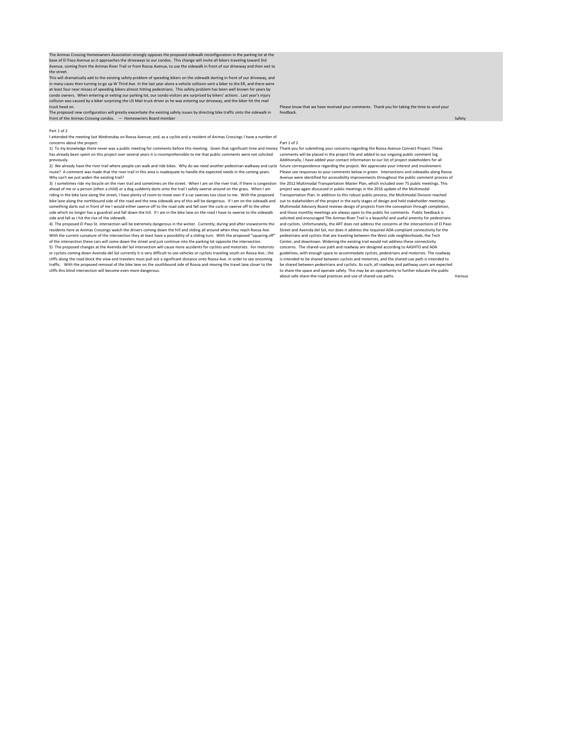The Animas Crossing Homeowners Association strongly opposes the proposed sidewalk reconfiguration in the parking lot at the<br>base of El Paso Avenue as it approaches the driveways to our condos. This change will invite all b Avenue, coming from the Animas River Trail or from Roosa Avenue, to use the sidewalk in front of our driveway and then exit to the street.

This will dramatically add to the existing safety problem of speeding bikers on the sidewalk darting in front of our driveway, and in many cases then turning to go up W Third Ave. In the last year alone a vehicle collision sent a biker to the ER, and there were<br>at least four near misses of speeding bikers almost hitting pedestrians. This safety proble truck head on.

-...<br>ed new configuration will greatly exacerbate the existing safety issues by directing bike traffic onto the sidewalk in front of the Animas Crossing condos. — Homeowners Board member

#### Part 1 of 2

I attended the meeting last Wednesday on Roosa Avenue; and, as a cyclist and a resident of Animas Crossings I have a number of concerns about the project:

1) To my knowledge there never was a public meeting for comments before this meeting. Given that significant time and money Thank you for submitting your concerns regarding the Roosa Avenue Connect Project. These has already been spent on this project over several years it is incomprehensible to me that public comments were not solicited previously.

2) We already have the river trail where people can walk and ride bikes. Why do we need another pedestrian walkway and cycle future correspondence regarding the project. We appreciate your interest and involvement. route? A comment was made that the river trail in this area is inadequate to handle the expected needs in the coming years. Why can't we just widen the existing trail?

3) I sometimes ride my bicycle on the river trail and sometimes on the street. When I am on the river trail, if there is congestion the 2012 Multimodal Transportation Master Plan, which included over 75 public meetings. Th ahead of me or a person (often a child) or a dog suddenly darts onto the trail I safely swerve around on the grass. When I am<br>riding in the bike lane along the street, I have plenty of room to move over if a car swerves to bike lane along the northbound side of the road and the new sidewalk any of this will be dangerous. If I am on the sidewalk and out to stakeholders of the project in the early stages of design and held stakeholder meetings something darts out in front of me I would either swerve off to the road side and fall over the curb or swerve off to the other side which no longer has a guardrail and fall down the hill. If I am in the bike lane on the road I have to swerve to the sidewalk side and fall as I hit the rise of the sidewalk.

4) The proposed El Paso St. intersection will be extremely dangerous in the winter. Currently, during and after snowstorms the residents here at Animas Crossings watch the drivers coming down the hill and sliding all around when they reach Roosa Ave.<br>With the current curvature of the intersection they at least have a possibility of a sliding turn. of the intersection these cars will come down the street and just continue into the parking lot opposite the intersection.

5) The proposed changes at the Avenida del Sol intersection will cause more accidents for cyclists and motorists. For motorists<br>or cyclists coming down Avenida del Sol currently it is very difficult to see vehicles or cycl cliffs along the road block the view and travelers must pull out a significant distance onto Roosa Ave. in order to see oncoming traffic. With the proposed removal of the bike lane on the southbound side of Roosa and moving the travel lane closer to the cliffs this blind intersection will become even more dangerous.

feedback.

Part 1 of 2 comments will be placed in the project file and added to our ongoing public comment log. Additionally, I have added your contact information to our list of project stakeholders for all Please see responses to your comments below in green. Intersections and sidewalks along Roosa Avenue were identified for accessibility improvements throughout the public comment process of project was again discussed in public meetings in the 2016 update of the Multimodal Transportation Plan. In addition to this robust public process, the Multimodal Division reached Multimodal Advisory Board reviews design of projects from the conception through completion, and those monthly meetings are always open to the public for comments. Public feedback is solicited and encouraged The Animas River Trail is a beautiful and useful amenity for pedestri and cyclists. Unfortunately, the ART does not address the concerns at the intersections of El Paso Street and Avenida del Sol, nor does it address the required ADA-compliant connectivity for the pedestrians and cyclists that are traveling between the West side neighborhoods, the Tech Center, and downtown. Widening the existing trail would not address these connectivity concerns. The shared-use path and roadway are designed according to AASHTO and ADA guidelines, with enough space to accommodate cyclists, pedestrians and motorists. The roadway is intended to be shared between cyclists and motorists, and the shared-use path is intended to be shared between pedestrians and cyclists. As such, all roadway and pathway users are expected to share the space and operate safely. This may be an opportunity to further educate the public<br>to share the space and operate safely. This may be an opportunity to further educate the public about safe share-the-road practices and use of shared-use paths. Various

Please know that we have received your comments. Thank you for taking the time to send your

# Safety